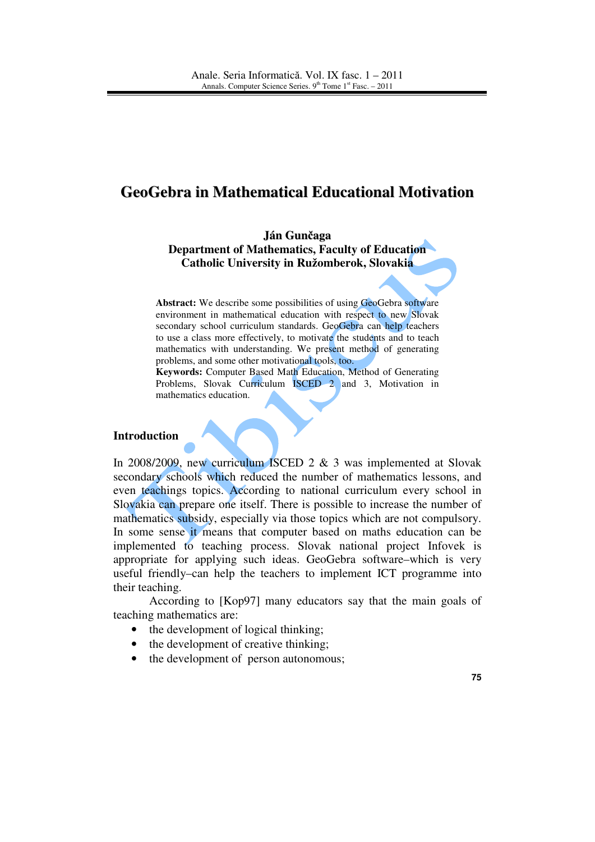# **GeoGebra in Mathematical Educational Motivation**

**Ján Gun**č**aga Department of Mathematics, Faculty of Education Catholic University in Ružomberok, Slovakia** 

Abstract: We describe some possibilities of using GeoGebra software environment in mathematical education with respect to new Slovak secondary school curriculum standards. GeoGebra can help teachers to use a class more effectively, to motivate the students and to teach mathematics with understanding. We present method of generating problems, and some other motivational tools, too.

**Keywords:** Computer Based Math Education, Method of Generating Problems, Slovak Curriculum ISCED 2 and 3, Motivation in mathematics education.

## **Introduction**

In 2008/2009, new curriculum ISCED 2 & 3 was implemented at Slovak secondary schools which reduced the number of mathematics lessons, and even teachings topics. According to national curriculum every school in Slovakia can prepare one itself. There is possible to increase the number of mathematics subsidy, especially via those topics which are not compulsory. In some sense it means that computer based on maths education can be implemented to teaching process. Slovak national project Infovek is appropriate for applying such ideas. GeoGebra software–which is very useful friendly–can help the teachers to implement ICT programme into their teaching.

According to [Kop97] many educators say that the main goals of teaching mathematics are:

- the development of logical thinking;
- the development of creative thinking;
- the development of person autonomous;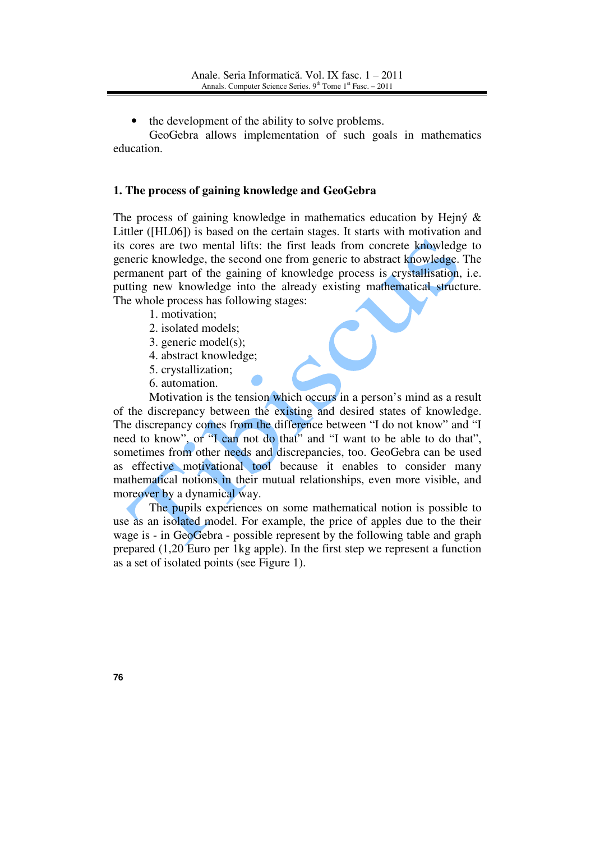the development of the ability to solve problems.

GeoGebra allows implementation of such goals in mathematics education.

#### **1. The process of gaining knowledge and GeoGebra**

The process of gaining knowledge in mathematics education by Hejný & Littler ([HL06]) is based on the certain stages. It starts with motivation and its cores are two mental lifts: the first leads from concrete knowledge to generic knowledge, the second one from generic to abstract knowledge. The permanent part of the gaining of knowledge process is crystallisation, i.e. putting new knowledge into the already existing mathematical structure. The whole process has following stages:

- 1. motivation;
- 2. isolated models;
- 3. generic model(s);
- 4. abstract knowledge;
- 5. crystallization;
- 6. automation.

Motivation is the tension which occurs in a person's mind as a result of the discrepancy between the existing and desired states of knowledge. The discrepancy comes from the difference between "I do not know" and "I need to know", or "I can not do that" and "I want to be able to do that", sometimes from other needs and discrepancies, too. GeoGebra can be used as effective motivational tool because it enables to consider many mathematical notions in their mutual relationships, even more visible, and moreover by a dynamical way.

The pupils experiences on some mathematical notion is possible to use as an isolated model. For example, the price of apples due to the their wage is - in GeoGebra - possible represent by the following table and graph prepared (1,20 Euro per 1kg apple). In the first step we represent a function as a set of isolated points (see Figure 1).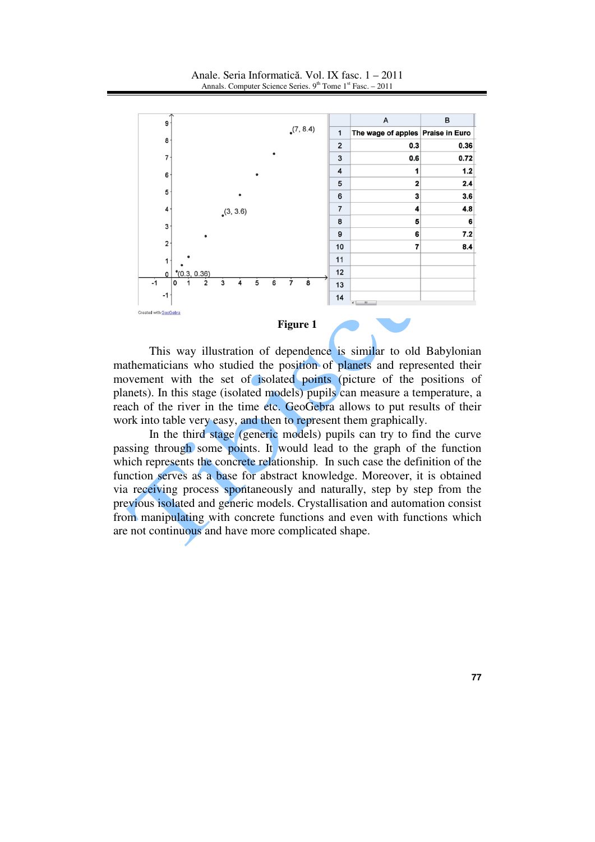

#### **Figure 1**

This way illustration of dependence is similar to old Babylonian mathematicians who studied the position of planets and represented their movement with the set of isolated points (picture of the positions of planets). In this stage (isolated models) pupils can measure a temperature, a reach of the river in the time etc. GeoGebra allows to put results of their work into table very easy, and then to represent them graphically.

In the third stage (generic models) pupils can try to find the curve passing through some points. It would lead to the graph of the function which represents the concrete relationship. In such case the definition of the function serves as a base for abstract knowledge. Moreover, it is obtained via receiving process spontaneously and naturally, step by step from the previous isolated and generic models. Crystallisation and automation consist from manipulating with concrete functions and even with functions which are not continuous and have more complicated shape.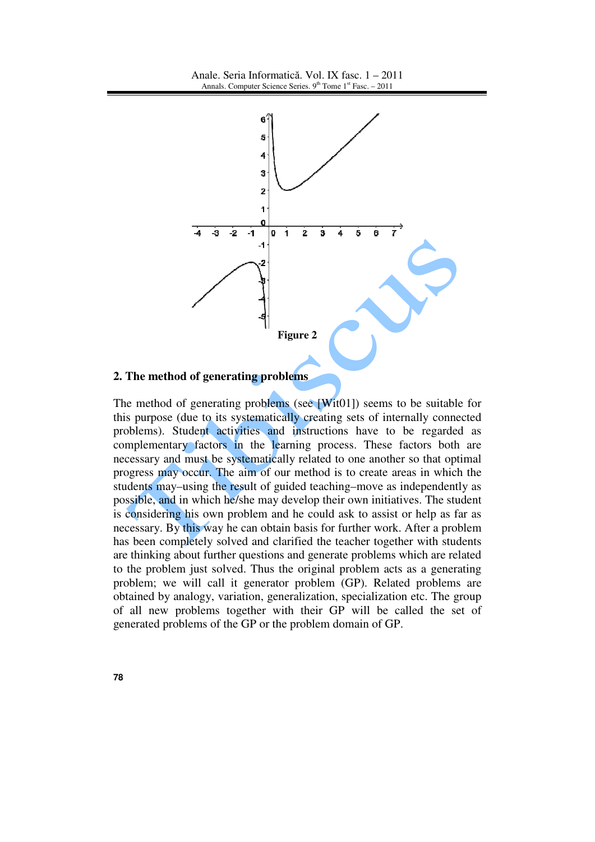

## **2. The method of generating problems**

The method of generating problems (see [Wit01]) seems to be suitable for this purpose (due to its systematically creating sets of internally connected problems). Student activities and instructions have to be regarded as complementary factors in the learning process. These factors both are necessary and must be systematically related to one another so that optimal progress may occur. The aim of our method is to create areas in which the students may–using the result of guided teaching–move as independently as possible, and in which he/she may develop their own initiatives. The student is considering his own problem and he could ask to assist or help as far as necessary. By this way he can obtain basis for further work. After a problem has been completely solved and clarified the teacher together with students are thinking about further questions and generate problems which are related to the problem just solved. Thus the original problem acts as a generating problem; we will call it generator problem (GP). Related problems are obtained by analogy, variation, generalization, specialization etc. The group of all new problems together with their GP will be called the set of generated problems of the GP or the problem domain of GP.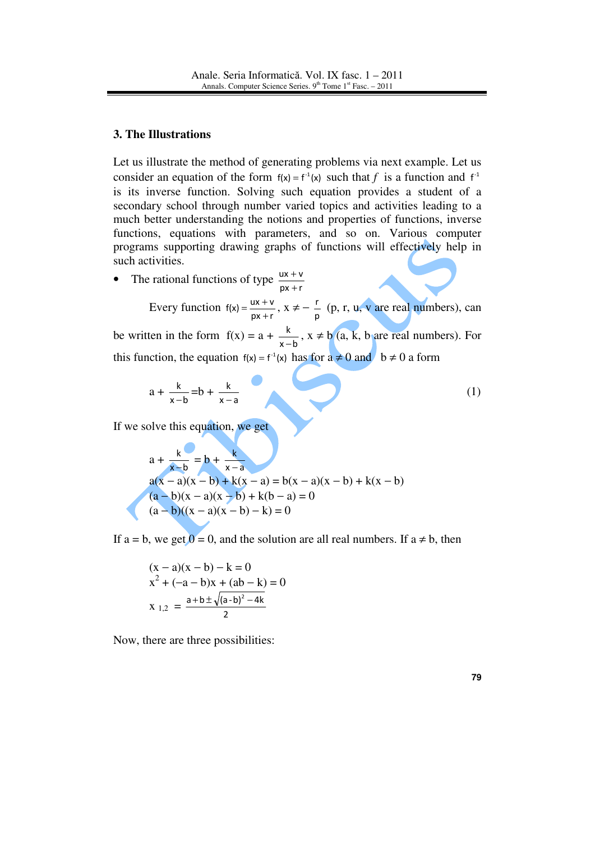#### **3. The Illustrations**

Let us illustrate the method of generating problems via next example. Let us consider an equation of the form  $f(x) = f<sup>-1</sup>(x)$  such that *f* is a function and  $f<sup>-1</sup>$ is its inverse function. Solving such equation provides a student of a secondary school through number varied topics and activities leading to a much better understanding the notions and properties of functions, inverse functions, equations with parameters, and so on. Various computer programs supporting drawing graphs of functions will effectively help in such activities.

• The rational functions of type  $\frac{dx+y}{px+r}$  $ux + v$ + +

> Every function  $f(x) = \frac{ux + v}{px + r}$  $f(x) = \frac{ux + v}{px + r}$  $=\frac{ux+v}{px+r}, x \neq -\frac{r}{p}$  $\frac{r}{r}$  (p, r, u, v are real numbers), can

be written in the form  $f(x) = a + \frac{b}{x-b}$ k  $\frac{k}{-b}$ , x ≠ b (a, k, b are real numbers). For this function, the equation  $f(x) = f^{-1}(x)$  has for  $a \neq 0$  and  $b \neq 0$  a form

$$
a + \frac{k}{x - b} = b + \frac{k}{x - a}
$$
 (1)

If we solve this equation, we get

$$
a + \frac{k}{x - b} = b + \frac{k}{x - a}
$$
  
a(x - a)(x - b) + k(x - a) = b(x - a)(x - b) + k(x - b)  
(a - b)(x - a)(x - b) + k(b - a) = 0  
(a - b)((x - a)(x - b) - k) = 0

If a = b, we get  $0 = 0$ , and the solution are all real numbers. If a  $\neq$  b, then

$$
(x - a)(x - b) - k = 0
$$
  
x<sup>2</sup> + (-a - b)x + (ab - k) = 0  
x<sub>1,2</sub> = 
$$
\frac{a + b \pm \sqrt{(a - b)^2 - 4k}}{2}
$$

Now, there are three possibilities: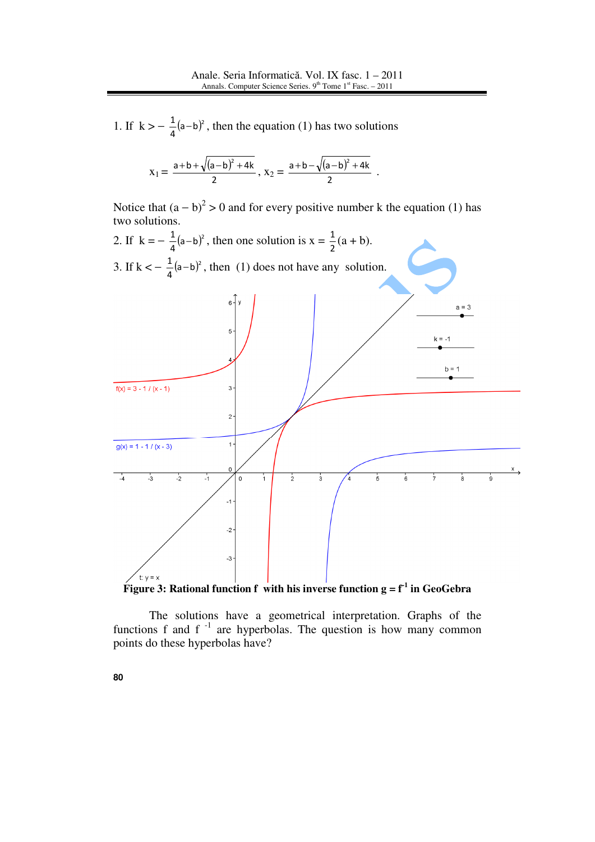1. If  $k > -\frac{1}{4}(a-b)^2$  $\frac{1}{2}$ (a-b)<sup>2</sup>, then the equation (1) has two solutions

$$
x_1=\frac{a+b+\sqrt{(a-b)^2+4k}}{2}\,,\ x_2=\frac{a+b-\sqrt{(a-b)^2+4k}}{2}\enspace.
$$

Notice that  $(a - b)^2 > 0$  and for every positive number k the equation (1) has two solutions.



**Figure 3:** Rational function f with his inverse function  $g = f^1$  in GeoGebra

The solutions have a geometrical interpretation. Graphs of the functions f and  $f^{-1}$  are hyperbolas. The question is how many common points do these hyperbolas have?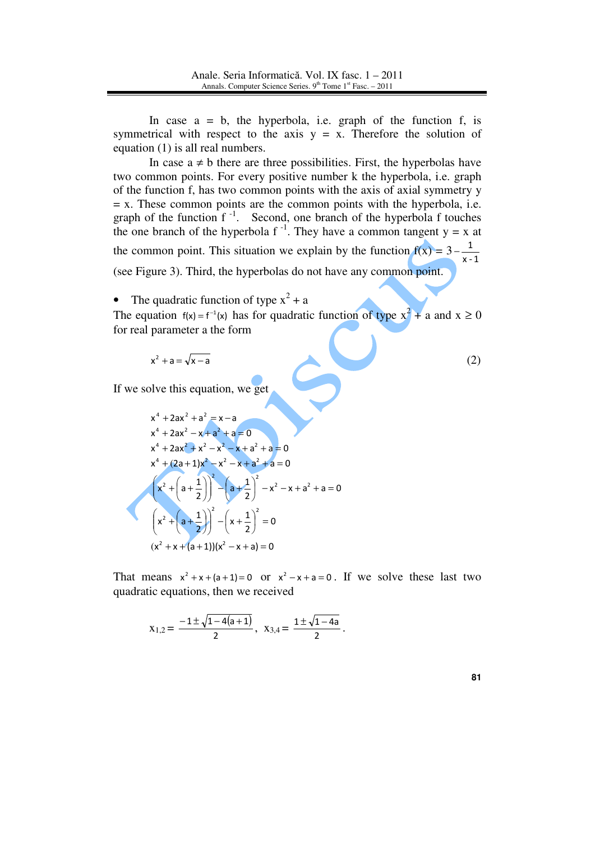In case  $a = b$ , the hyperbola, i.e. graph of the function f, is symmetrical with respect to the axis  $y = x$ . Therefore the solution of equation (1) is all real numbers.

In case  $a \neq b$  there are three possibilities. First, the hyperbolas have two common points. For every positive number k the hyperbola, i.e. graph of the function f, has two common points with the axis of axial symmetry y  $= x$ . These common points are the common points with the hyperbola, i.e. graph of the function  $f^{-1}$ . Second, one branch of the hyperbola f touches the one branch of the hyperbola f<sup>-1</sup>. They have a common tangent  $y = x$  at the common point. This situation we explain by the function  $f(x) = 3$ x - 1 1 (see Figure 3). Third, the hyperbolas do not have any common point.

• The quadratic function of type  $x^2 + a$ 

The equation  $f(x) = f^{-1}(x)$  has for quadratic function of type  $x^2 + a$  and  $x \ge 0$ for real parameter a the form

$$
x^2 + a = \sqrt{x - a} \tag{2}
$$

If we solve this equation, we get

$$
x^{4} + 2ax^{2} + a^{2} = x - a
$$
  
\n
$$
x^{4} + 2ax^{2} - x + a^{2} + a = 0
$$
  
\n
$$
x^{4} + 2ax^{2} + x^{2} - x^{2} - x + a^{2} + a = 0
$$
  
\n
$$
x^{4} + (2a + 1)x^{2} - x^{2} - x + a^{2} + a = 0
$$
  
\n
$$
x^{2} + \left(a + \frac{1}{2}\right)^{2} - \left(a + \frac{1}{2}\right)^{2} - x^{2} - x + a^{2} + a = 0
$$
  
\n
$$
\left(x^{2} + \left(a + \frac{1}{2}\right)\right)^{2} - \left(x + \frac{1}{2}\right)^{2} = 0
$$
  
\n
$$
\left(x^{2} + x + (a + 1)\right)\left(x^{2} - x + a\right) = 0
$$

That means  $x^2 + x + (a+1) = 0$  or  $x^2 - x + a = 0$ . If we solve these last two quadratic equations, then we received

.

$$
x_{1,2} = \frac{-1 \pm \sqrt{1 - 4(a + 1)}}{2}, \ \ x_{3,4} = \frac{1 \pm \sqrt{1 - 4a}}{2}
$$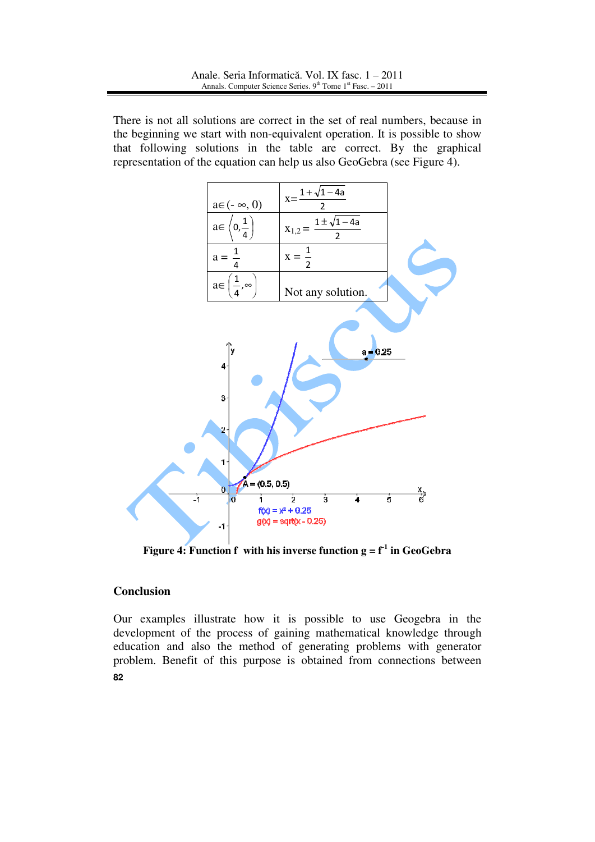There is not all solutions are correct in the set of real numbers, because in the beginning we start with non-equivalent operation. It is possible to show that following solutions in the table are correct. By the graphical representation of the equation can help us also GeoGebra (see Figure 4).



**Figure 4: Function f** with his inverse function  $g = f^1$  in GeoGebra

## **Conclusion**

**82** Our examples illustrate how it is possible to use Geogebra in the development of the process of gaining mathematical knowledge through education and also the method of generating problems with generator problem. Benefit of this purpose is obtained from connections between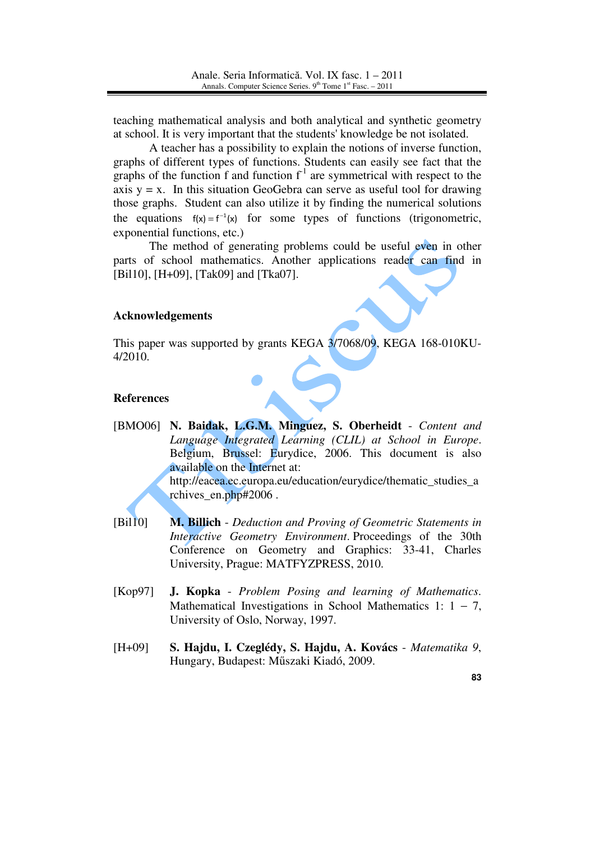teaching mathematical analysis and both analytical and synthetic geometry at school. It is very important that the students' knowledge be not isolated.

A teacher has a possibility to explain the notions of inverse function, graphs of different types of functions. Students can easily see fact that the graphs of the function f and function  $f^{-1}$  are symmetrical with respect to the axis  $y = x$ . In this situation GeoGebra can serve as useful tool for drawing those graphs. Student can also utilize it by finding the numerical solutions the equations  $f(x) = f^{-1}(x)$  for some types of functions (trigonometric, exponential functions, etc.)

The method of generating problems could be useful even in other parts of school mathematics. Another applications reader can find in [Bil10], [H+09], [Tak09] and [Tka07].

# **Acknowledgements**

This paper was supported by grants KEGA 3/7068/09, KEGA 168-010KU-4/2010.

## **References**

[BMO06] **N. Baidak, L.G.M. Minguez, S. Oberheidt** - *Content and Language Integrated Learning (CLIL) at School in Europe*. Belgium, Brussel: Eurydice, 2006. This document is also available on the Internet at:

http://eacea.ec.europa.eu/education/eurydice/thematic\_studies\_a rchives\_en.php#2006 .

- [Bil10] **M. Billich** *Deduction and Proving of Geometric Statements in Interactive Geometry Environment*. Proceedings of the 30th Conference on Geometry and Graphics: 33-41, Charles University, Prague: MATFYZPRESS, 2010.
- [Kop97] **J. Kopka** *Problem Posing and learning of Mathematics*. Mathematical Investigations in School Mathematics 1:  $1 - 7$ , University of Oslo, Norway, 1997.
- [H+09] **S. Hajdu, I. Czeglédy, S. Hajdu, A. Kovács** *Matematika 9*, Hungary, Budapest: Műszaki Kiadó, 2009.

**83**